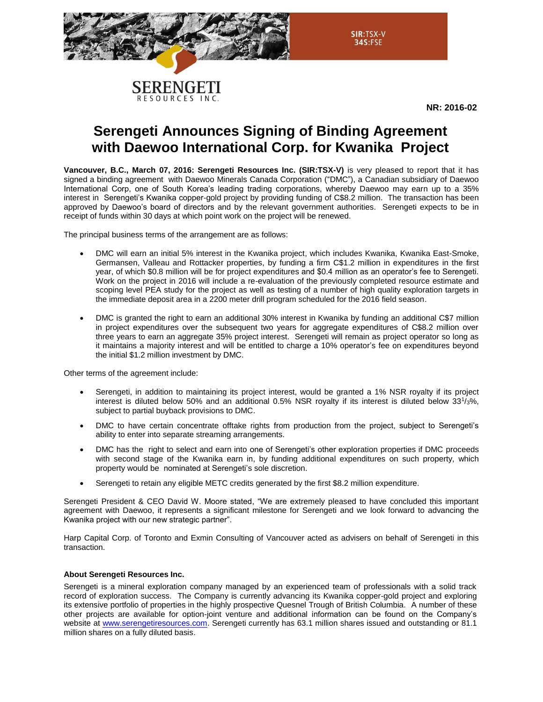



**NR: 2016-02**

# **Serengeti Announces Signing of Binding Agreement with Daewoo International Corp. for Kwanika Project**

**Vancouver, B.C., March 07, 2016: Serengeti Resources Inc. (SIR:TSX-V)** is very pleased to report that it has signed a binding agreement with Daewoo Minerals Canada Corporation ("DMC"), a Canadian subsidiary of Daewoo International Corp, one of South Korea's leading trading corporations, whereby Daewoo may earn up to a 35% interest in Serengeti's Kwanika copper-gold project by providing funding of C\$8.2 million. The transaction has been approved by Daewoo's board of directors and by the relevant government authorities. Serengeti expects to be in receipt of funds within 30 days at which point work on the project will be renewed.

The principal business terms of the arrangement are as follows:

- DMC will earn an initial 5% interest in the Kwanika project, which includes Kwanika, Kwanika East-Smoke, Germansen, Valleau and Rottacker properties, by funding a firm C\$1.2 million in expenditures in the first year, of which \$0.8 million will be for project expenditures and \$0.4 million as an operator's fee to Serengeti. Work on the project in 2016 will include a re-evaluation of the previously completed resource estimate and scoping level PEA study for the project as well as testing of a number of high quality exploration targets in the immediate deposit area in a 2200 meter drill program scheduled for the 2016 field season.
- DMC is granted the right to earn an additional 30% interest in Kwanika by funding an additional C\$7 million in project expenditures over the subsequent two years for aggregate expenditures of C\$8.2 million over three years to earn an aggregate 35% project interest. Serengeti will remain as project operator so long as it maintains a majority interest and will be entitled to charge a 10% operator's fee on expenditures beyond the initial \$1.2 million investment by DMC.

Other terms of the agreement include:

- Serengeti, in addition to maintaining its project interest, would be granted a 1% NSR royalty if its project interest is diluted below 50% and an additional 0.5% NSR royalty if its interest is diluted below 33<sup>1</sup>/3%, subject to partial buyback provisions to DMC.
- DMC to have certain concentrate offtake rights from production from the project, subject to Serengeti's ability to enter into separate streaming arrangements.
- DMC has the right to select and earn into one of Serengeti's other exploration properties if DMC proceeds with second stage of the Kwanika earn in, by funding additional expenditures on such property, which property would be nominated at Serengeti's sole discretion.
- Serengeti to retain any eligible METC credits generated by the first \$8.2 million expenditure.

Serengeti President & CEO David W. Moore stated, "We are extremely pleased to have concluded this important agreement with Daewoo, it represents a significant milestone for Serengeti and we look forward to advancing the Kwanika project with our new strategic partner".

Harp Capital Corp. of Toronto and Exmin Consulting of Vancouver acted as advisers on behalf of Serengeti in this transaction.

### **About Serengeti Resources Inc.**

Serengeti is a mineral exploration company managed by an experienced team of professionals with a solid track record of exploration success. The Company is currently advancing its Kwanika copper-gold project and exploring its extensive portfolio of properties in the highly prospective Quesnel Trough of British Columbia. A number of these other projects are available for option-joint venture and additional information can be found on the Company's website at [www.serengetiresources.com.](http://www.serengetiresources.com/) Serengeti currently has 63.1 million shares issued and outstanding or 81.1 million shares on a fully diluted basis.